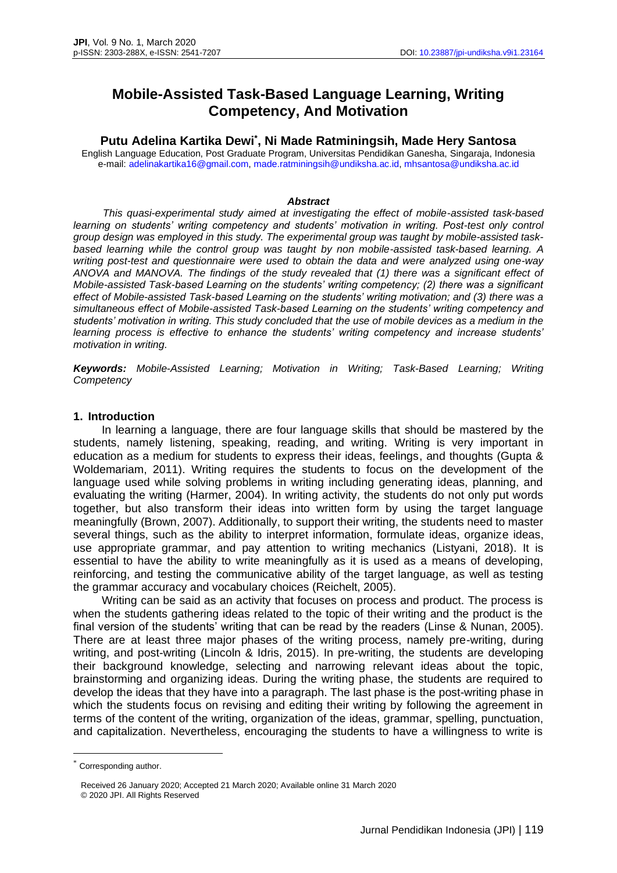# **Mobile-Assisted Task-Based Language Learning, Writing Competency, And Motivation**

**Putu Adelina Kartika Dewi\* , Ni Made Ratminingsih, Made Hery Santosa**

English Language Education, Post Graduate Program, Universitas Pendidikan Ganesha, Singaraja, Indonesia e-mail: [adelinakartika16@gmail.com,](mailto:adelinakartika16@gmail.com) [made.ratminingsih@undiksha.ac.id,](mailto:made.ratminingsih@undiksha.ac.id) [mhsantosa@undiksha.ac.id](mailto:mhsantosa@undiksha.ac.id)

#### *Abstract*

*This quasi-experimental study aimed at investigating the effect of mobile-assisted task-based learning on students' writing competency and students' motivation in writing. Post-test only control group design was employed in this study. The experimental group was taught by mobile-assisted taskbased learning while the control group was taught by non mobile-assisted task-based learning. A writing post-test and questionnaire were used to obtain the data and were analyzed using one-way ANOVA and MANOVA. The findings of the study revealed that (1) there was a significant effect of Mobile-assisted Task-based Learning on the students' writing competency; (2) there was a significant effect of Mobile-assisted Task-based Learning on the students' writing motivation; and (3) there was a simultaneous effect of Mobile-assisted Task-based Learning on the students' writing competency and students' motivation in writing. This study concluded that the use of mobile devices as a medium in the learning process is effective to enhance the students' writing competency and increase students' motivation in writing.* 

*Keywords: Mobile-Assisted Learning; Motivation in Writing; Task-Based Learning; Writing Competency*

## **1. Introduction**

In learning a language, there are four language skills that should be mastered by the students, namely listening, speaking, reading, and writing. Writing is very important in education as a medium for students to express their ideas, feelings, and thoughts (Gupta & Woldemariam, 2011). Writing requires the students to focus on the development of the language used while solving problems in writing including generating ideas, planning, and evaluating the writing (Harmer, 2004). In writing activity, the students do not only put words together, but also transform their ideas into written form by using the target language meaningfully (Brown, 2007). Additionally, to support their writing, the students need to master several things, such as the ability to interpret information, formulate ideas, organize ideas, use appropriate grammar, and pay attention to writing mechanics (Listyani, 2018). It is essential to have the ability to write meaningfully as it is used as a means of developing, reinforcing, and testing the communicative ability of the target language, as well as testing the grammar accuracy and vocabulary choices (Reichelt, 2005).

Writing can be said as an activity that focuses on process and product. The process is when the students gathering ideas related to the topic of their writing and the product is the final version of the students' writing that can be read by the readers (Linse & Nunan, 2005). There are at least three major phases of the writing process, namely pre-writing, during writing, and post-writing (Lincoln & Idris, 2015). In pre-writing, the students are developing their background knowledge, selecting and narrowing relevant ideas about the topic, brainstorming and organizing ideas. During the writing phase, the students are required to develop the ideas that they have into a paragraph. The last phase is the post-writing phase in which the students focus on revising and editing their writing by following the agreement in terms of the content of the writing, organization of the ideas, grammar, spelling, punctuation, and capitalization. Nevertheless, encouraging the students to have a willingness to write is

<sup>\*</sup> Corresponding author.

Received 26 January 2020; Accepted 21 March 2020; Available online 31 March 2020 © 2020 JPI. All Rights Reserved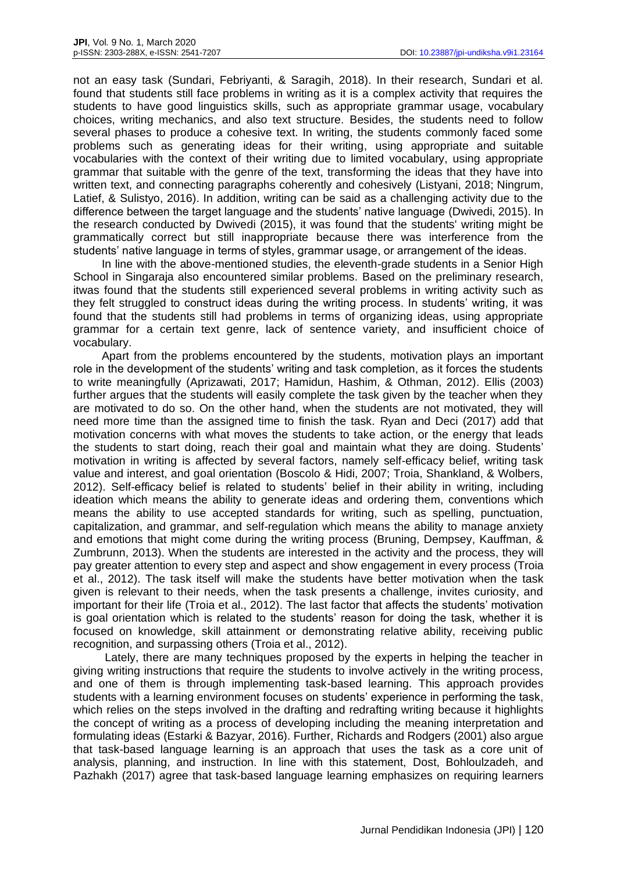not an easy task (Sundari, Febriyanti, & Saragih, 2018). In their research, Sundari et al. found that students still face problems in writing as it is a complex activity that requires the students to have good linguistics skills, such as appropriate grammar usage, vocabulary choices, writing mechanics, and also text structure. Besides, the students need to follow several phases to produce a cohesive text. In writing, the students commonly faced some problems such as generating ideas for their writing, using appropriate and suitable vocabularies with the context of their writing due to limited vocabulary, using appropriate grammar that suitable with the genre of the text, transforming the ideas that they have into written text, and connecting paragraphs coherently and cohesively (Listyani, 2018; Ningrum, Latief, & Sulistyo, 2016). In addition, writing can be said as a challenging activity due to the difference between the target language and the students' native language (Dwivedi, 2015). In the research conducted by Dwivedi (2015), it was found that the students' writing might be grammatically correct but still inappropriate because there was interference from the students' native language in terms of styles, grammar usage, or arrangement of the ideas.

In line with the above-mentioned studies, the eleventh-grade students in a Senior High School in Singaraja also encountered similar problems. Based on the preliminary research, itwas found that the students still experienced several problems in writing activity such as they felt struggled to construct ideas during the writing process. In students' writing, it was found that the students still had problems in terms of organizing ideas, using appropriate grammar for a certain text genre, lack of sentence variety, and insufficient choice of vocabulary.

Apart from the problems encountered by the students, motivation plays an important role in the development of the students' writing and task completion, as it forces the students to write meaningfully (Aprizawati, 2017; Hamidun, Hashim, & Othman, 2012). Ellis (2003) further argues that the students will easily complete the task given by the teacher when they are motivated to do so. On the other hand, when the students are not motivated, they will need more time than the assigned time to finish the task. Ryan and Deci (2017) add that motivation concerns with what moves the students to take action, or the energy that leads the students to start doing, reach their goal and maintain what they are doing. Students' motivation in writing is affected by several factors, namely self-efficacy belief, writing task value and interest, and goal orientation (Boscolo & Hidi, 2007; Troia, Shankland, & Wolbers, 2012). Self-efficacy belief is related to students' belief in their ability in writing, including ideation which means the ability to generate ideas and ordering them, conventions which means the ability to use accepted standards for writing, such as spelling, punctuation, capitalization, and grammar, and self-regulation which means the ability to manage anxiety and emotions that might come during the writing process (Bruning, Dempsey, Kauffman, & Zumbrunn, 2013). When the students are interested in the activity and the process, they will pay greater attention to every step and aspect and show engagement in every process (Troia et al., 2012). The task itself will make the students have better motivation when the task given is relevant to their needs, when the task presents a challenge, invites curiosity, and important for their life (Troia et al., 2012). The last factor that affects the students' motivation is goal orientation which is related to the students' reason for doing the task, whether it is focused on knowledge, skill attainment or demonstrating relative ability, receiving public recognition, and surpassing others (Troia et al., 2012).

Lately, there are many techniques proposed by the experts in helping the teacher in giving writing instructions that require the students to involve actively in the writing process, and one of them is through implementing task-based learning. This approach provides students with a learning environment focuses on students' experience in performing the task, which relies on the steps involved in the drafting and redrafting writing because it highlights the concept of writing as a process of developing including the meaning interpretation and formulating ideas (Estarki & Bazyar, 2016). Further, Richards and Rodgers (2001) also argue that task-based language learning is an approach that uses the task as a core unit of analysis, planning, and instruction. In line with this statement, Dost, Bohloulzadeh, and Pazhakh (2017) agree that task-based language learning emphasizes on requiring learners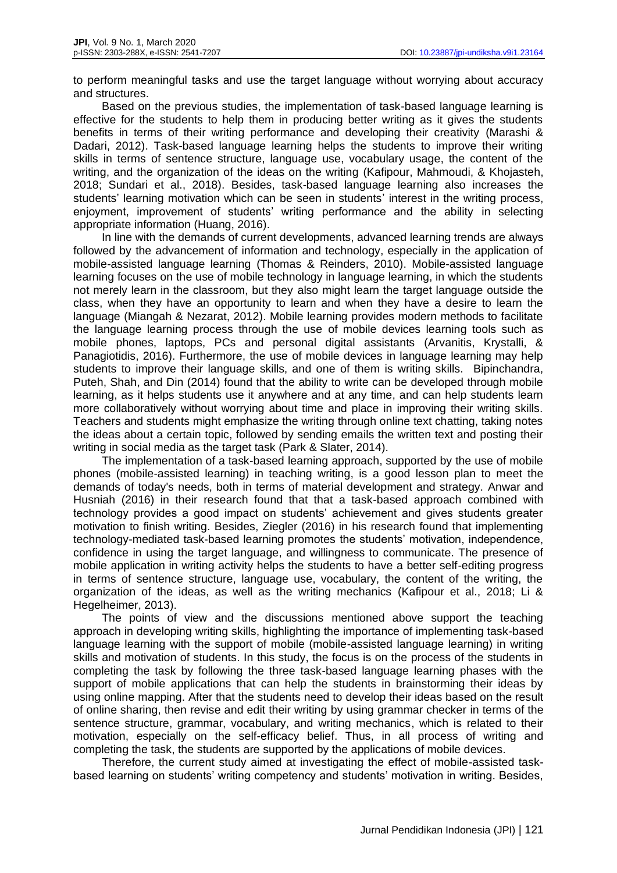to perform meaningful tasks and use the target language without worrying about accuracy and structures.

Based on the previous studies, the implementation of task-based language learning is effective for the students to help them in producing better writing as it gives the students benefits in terms of their writing performance and developing their creativity (Marashi & Dadari, 2012). Task-based language learning helps the students to improve their writing skills in terms of sentence structure, language use, vocabulary usage, the content of the writing, and the organization of the ideas on the writing (Kafipour, Mahmoudi, & Khojasteh, 2018; Sundari et al., 2018). Besides, task-based language learning also increases the students' learning motivation which can be seen in students' interest in the writing process, enjoyment, improvement of students' writing performance and the ability in selecting appropriate information (Huang, 2016).

In line with the demands of current developments, advanced learning trends are always followed by the advancement of information and technology, especially in the application of mobile-assisted language learning (Thomas & Reinders, 2010). Mobile-assisted language learning focuses on the use of mobile technology in language learning, in which the students not merely learn in the classroom, but they also might learn the target language outside the class, when they have an opportunity to learn and when they have a desire to learn the language (Miangah & Nezarat, 2012). Mobile learning provides modern methods to facilitate the language learning process through the use of mobile devices learning tools such as mobile phones, laptops, PCs and personal digital assistants (Arvanitis, Krystalli, & Panagiotidis, 2016). Furthermore, the use of mobile devices in language learning may help students to improve their language skills, and one of them is writing skills. Bipinchandra, Puteh, Shah, and Din (2014) found that the ability to write can be developed through mobile learning, as it helps students use it anywhere and at any time, and can help students learn more collaboratively without worrying about time and place in improving their writing skills. Teachers and students might emphasize the writing through online text chatting, taking notes the ideas about a certain topic, followed by sending emails the written text and posting their writing in social media as the target task (Park & Slater, 2014).

The implementation of a task-based learning approach, supported by the use of mobile phones (mobile-assisted learning) in teaching writing, is a good lesson plan to meet the demands of today's needs, both in terms of material development and strategy. Anwar and Husniah (2016) in their research found that that a task-based approach combined with technology provides a good impact on students' achievement and gives students greater motivation to finish writing. Besides, Ziegler (2016) in his research found that implementing technology-mediated task-based learning promotes the students' motivation, independence, confidence in using the target language, and willingness to communicate. The presence of mobile application in writing activity helps the students to have a better self-editing progress in terms of sentence structure, language use, vocabulary, the content of the writing, the organization of the ideas, as well as the writing mechanics (Kafipour et al., 2018; Li & Hegelheimer, 2013).

The points of view and the discussions mentioned above support the teaching approach in developing writing skills, highlighting the importance of implementing task-based language learning with the support of mobile (mobile-assisted language learning) in writing skills and motivation of students. In this study, the focus is on the process of the students in completing the task by following the three task-based language learning phases with the support of mobile applications that can help the students in brainstorming their ideas by using online mapping. After that the students need to develop their ideas based on the result of online sharing, then revise and edit their writing by using grammar checker in terms of the sentence structure, grammar, vocabulary, and writing mechanics, which is related to their motivation, especially on the self-efficacy belief. Thus, in all process of writing and completing the task, the students are supported by the applications of mobile devices.

Therefore, the current study aimed at investigating the effect of mobile-assisted taskbased learning on students' writing competency and students' motivation in writing. Besides,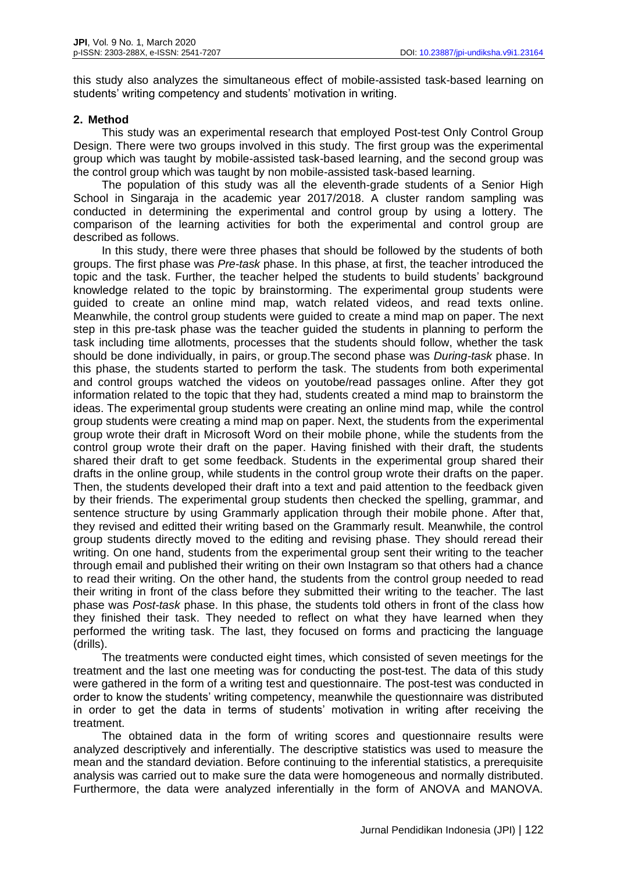this study also analyzes the simultaneous effect of mobile-assisted task-based learning on students' writing competency and students' motivation in writing.

# **2. Method**

This study was an experimental research that employed Post-test Only Control Group Design. There were two groups involved in this study. The first group was the experimental group which was taught by mobile-assisted task-based learning, and the second group was the control group which was taught by non mobile-assisted task-based learning.

The population of this study was all the eleventh-grade students of a Senior High School in Singaraja in the academic year 2017/2018. A cluster random sampling was conducted in determining the experimental and control group by using a lottery. The comparison of the learning activities for both the experimental and control group are described as follows.

In this study, there were three phases that should be followed by the students of both groups. The first phase was *Pre-task* phase. In this phase, at first, the teacher introduced the topic and the task. Further, the teacher helped the students to build students' background knowledge related to the topic by brainstorming. The experimental group students were guided to create an online mind map, watch related videos, and read texts online. Meanwhile, the control group students were guided to create a mind map on paper. The next step in this pre-task phase was the teacher guided the students in planning to perform the task including time allotments, processes that the students should follow, whether the task should be done individually, in pairs, or group.The second phase was *During-task* phase. In this phase, the students started to perform the task. The students from both experimental and control groups watched the videos on youtobe/read passages online. After they got information related to the topic that they had, students created a mind map to brainstorm the ideas. The experimental group students were creating an online mind map, while the control group students were creating a mind map on paper. Next, the students from the experimental group wrote their draft in Microsoft Word on their mobile phone, while the students from the control group wrote their draft on the paper. Having finished with their draft, the students shared their draft to get some feedback. Students in the experimental group shared their drafts in the online group, while students in the control group wrote their drafts on the paper. Then, the students developed their draft into a text and paid attention to the feedback given by their friends. The experimental group students then checked the spelling, grammar, and sentence structure by using Grammarly application through their mobile phone. After that, they revised and editted their writing based on the Grammarly result. Meanwhile, the control group students directly moved to the editing and revising phase. They should reread their writing. On one hand, students from the experimental group sent their writing to the teacher through email and published their writing on their own Instagram so that others had a chance to read their writing. On the other hand, the students from the control group needed to read their writing in front of the class before they submitted their writing to the teacher. The last phase was *Post-task* phase. In this phase, the students told others in front of the class how they finished their task. They needed to reflect on what they have learned when they performed the writing task. The last, they focused on forms and practicing the language (drills).

The treatments were conducted eight times, which consisted of seven meetings for the treatment and the last one meeting was for conducting the post-test. The data of this study were gathered in the form of a writing test and questionnaire. The post-test was conducted in order to know the students' writing competency, meanwhile the questionnaire was distributed in order to get the data in terms of students' motivation in writing after receiving the treatment.

The obtained data in the form of writing scores and questionnaire results were analyzed descriptively and inferentially. The descriptive statistics was used to measure the mean and the standard deviation. Before continuing to the inferential statistics, a prerequisite analysis was carried out to make sure the data were homogeneous and normally distributed. Furthermore, the data were analyzed inferentially in the form of ANOVA and MANOVA.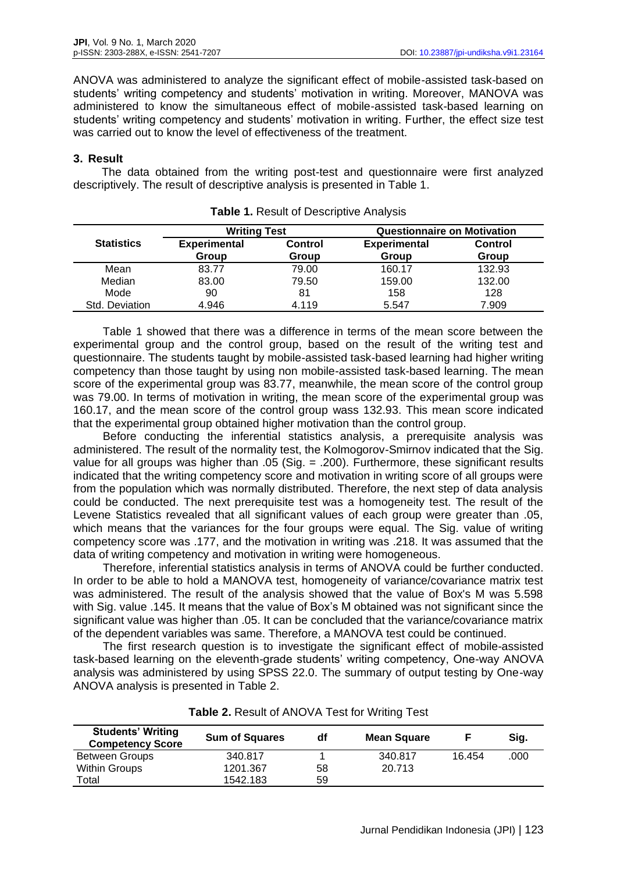ANOVA was administered to analyze the significant effect of mobile-assisted task-based on students' writing competency and students' motivation in writing. Moreover, MANOVA was administered to know the simultaneous effect of mobile-assisted task-based learning on students' writing competency and students' motivation in writing. Further, the effect size test was carried out to know the level of effectiveness of the treatment.

# **3. Result**

The data obtained from the writing post-test and questionnaire were first analyzed descriptively. The result of descriptive analysis is presented in Table 1.

|                   | <b>Writing Test</b>          |                         | <b>Questionnaire on Motivation</b> |                         |  |
|-------------------|------------------------------|-------------------------|------------------------------------|-------------------------|--|
| <b>Statistics</b> | <b>Experimental</b><br>Group | <b>Control</b><br>Group | <b>Experimental</b><br>Group       | <b>Control</b><br>Group |  |
| Mean              | 83.77                        | 79.00                   | 160.17                             | 132.93                  |  |
| Median            | 83.00                        | 79.50                   | 159.00                             | 132.00                  |  |
| Mode              | 90                           | 81                      | 158                                | 128                     |  |
| Std. Deviation    | 4.946                        | 4.119                   | 5.547                              | 7.909                   |  |

| <b>Table 1. Result of Descriptive Analysis</b> |  |  |  |  |
|------------------------------------------------|--|--|--|--|
|------------------------------------------------|--|--|--|--|

Table 1 showed that there was a difference in terms of the mean score between the experimental group and the control group, based on the result of the writing test and questionnaire. The students taught by mobile-assisted task-based learning had higher writing competency than those taught by using non mobile-assisted task-based learning. The mean score of the experimental group was 83.77, meanwhile, the mean score of the control group was 79.00. In terms of motivation in writing, the mean score of the experimental group was 160.17, and the mean score of the control group wass 132.93. This mean score indicated that the experimental group obtained higher motivation than the control group.

Before conducting the inferential statistics analysis, a prerequisite analysis was administered. The result of the normality test, the Kolmogorov-Smirnov indicated that the Sig. value for all groups was higher than .05 (Sig.  $=$  .200). Furthermore, these significant results indicated that the writing competency score and motivation in writing score of all groups were from the population which was normally distributed. Therefore, the next step of data analysis could be conducted. The next prerequisite test was a homogeneity test. The result of the Levene Statistics revealed that all significant values of each group were greater than .05, which means that the variances for the four groups were equal. The Sig. value of writing competency score was .177, and the motivation in writing was .218. It was assumed that the data of writing competency and motivation in writing were homogeneous.

Therefore, inferential statistics analysis in terms of ANOVA could be further conducted. In order to be able to hold a MANOVA test, homogeneity of variance/covariance matrix test was administered. The result of the analysis showed that the value of Box's M was 5.598 with Sig. value .145. It means that the value of Box's M obtained was not significant since the significant value was higher than .05. It can be concluded that the variance/covariance matrix of the dependent variables was same. Therefore, a MANOVA test could be continued.

The first research question is to investigate the significant effect of mobile-assisted task-based learning on the eleventh-grade students' writing competency, One-way ANOVA analysis was administered by using SPSS 22.0. The summary of output testing by One-way ANOVA analysis is presented in Table 2.

| <b>Students' Writing</b><br><b>Competency Score</b> | <b>Sum of Squares</b> | df | <b>Mean Square</b> |        | Sig. |
|-----------------------------------------------------|-----------------------|----|--------------------|--------|------|
| <b>Between Groups</b>                               | 340.817               |    | 340.817            | 16.454 | .000 |
| <b>Within Groups</b>                                | 1201.367              | 58 | 20.713             |        |      |
| Total                                               | 1542.183              | 59 |                    |        |      |

**Table 2.** Result of ANOVA Test for Writing Test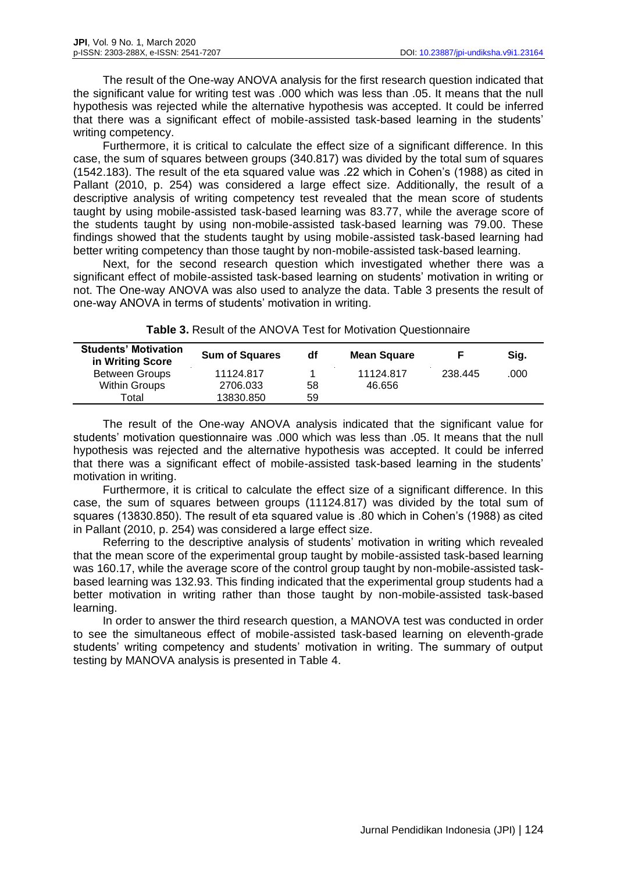The result of the One-way ANOVA analysis for the first research question indicated that the significant value for writing test was .000 which was less than .05. It means that the null hypothesis was rejected while the alternative hypothesis was accepted. It could be inferred that there was a significant effect of mobile-assisted task-based learning in the students' writing competency.

Furthermore, it is critical to calculate the effect size of a significant difference. In this case, the sum of squares between groups (340.817) was divided by the total sum of squares (1542.183). The result of the eta squared value was .22 which in Cohen's (1988) as cited in Pallant (2010, p. 254) was considered a large effect size. Additionally, the result of a descriptive analysis of writing competency test revealed that the mean score of students taught by using mobile-assisted task-based learning was 83.77, while the average score of the students taught by using non-mobile-assisted task-based learning was 79.00. These findings showed that the students taught by using mobile-assisted task-based learning had better writing competency than those taught by non-mobile-assisted task-based learning.

Next, for the second research question which investigated whether there was a significant effect of mobile-assisted task-based learning on students' motivation in writing or not. The One-way ANOVA was also used to analyze the data. Table 3 presents the result of one-way ANOVA in terms of students' motivation in writing.

| <b>Students' Motivation</b><br>in Writing Score | <b>Sum of Squares</b> | df | <b>Mean Square</b> |         | Sig. |
|-------------------------------------------------|-----------------------|----|--------------------|---------|------|
| <b>Between Groups</b>                           | 11124.817             |    | 11124.817          | 238.445 | .000 |
| <b>Within Groups</b>                            | 2706.033              | 58 | 46.656             |         |      |
| Total                                           | 13830.850             | 59 |                    |         |      |

**Table 3.** Result of the ANOVA Test for Motivation Questionnaire

The result of the One-way ANOVA analysis indicated that the significant value for students' motivation questionnaire was .000 which was less than .05. It means that the null hypothesis was rejected and the alternative hypothesis was accepted. It could be inferred that there was a significant effect of mobile-assisted task-based learning in the students' motivation in writing.

Furthermore, it is critical to calculate the effect size of a significant difference. In this case, the sum of squares between groups (11124.817) was divided by the total sum of squares (13830.850). The result of eta squared value is .80 which in Cohen's (1988) as cited in Pallant (2010, p. 254) was considered a large effect size.

Referring to the descriptive analysis of students' motivation in writing which revealed that the mean score of the experimental group taught by mobile-assisted task-based learning was 160.17, while the average score of the control group taught by non-mobile-assisted taskbased learning was 132.93. This finding indicated that the experimental group students had a better motivation in writing rather than those taught by non-mobile-assisted task-based learning.

In order to answer the third research question, a MANOVA test was conducted in order to see the simultaneous effect of mobile-assisted task-based learning on eleventh-grade students' writing competency and students' motivation in writing. The summary of output testing by MANOVA analysis is presented in Table 4.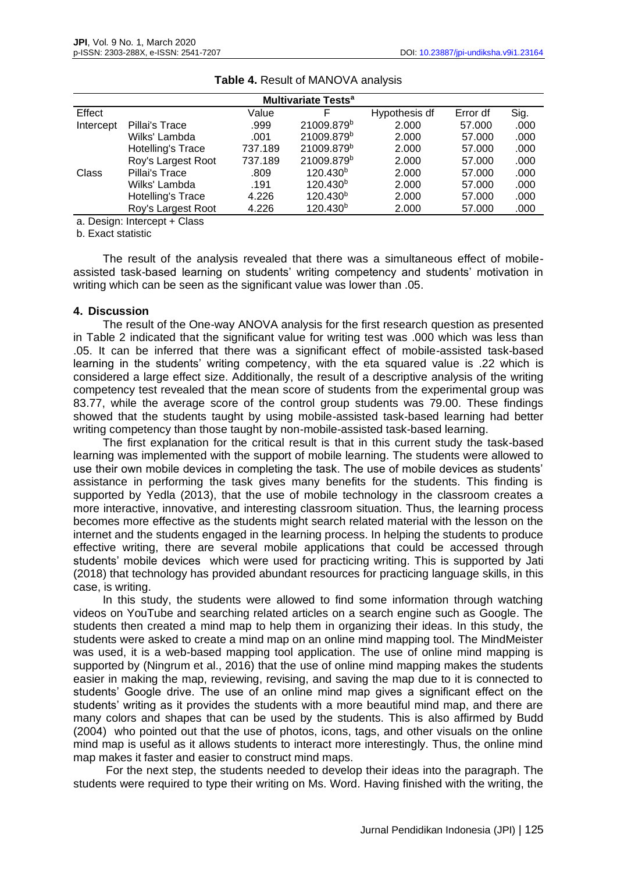| <b>Multivariate Tests<sup>a</sup></b> |                    |         |                        |               |          |      |  |
|---------------------------------------|--------------------|---------|------------------------|---------------|----------|------|--|
| Effect                                |                    | Value   | F                      | Hypothesis df | Error df | Sig. |  |
| Intercept                             | Pillai's Trace     | .999    | 21009.879 <sup>b</sup> | 2.000         | 57.000   | .000 |  |
|                                       | Wilks' Lambda      | .001    | 21009.879 <sup>b</sup> | 2.000         | 57,000   | .000 |  |
|                                       | Hotelling's Trace  | 737.189 | 21009.879 <sup>b</sup> | 2.000         | 57.000   | .000 |  |
|                                       | Roy's Largest Root | 737.189 | 21009.879b             | 2.000         | 57,000   | .000 |  |
| Class                                 | Pillai's Trace     | .809    | 120.430 <sup>b</sup>   | 2.000         | 57.000   | .000 |  |
|                                       | Wilks' Lambda      | .191    | 120.430 <sup>b</sup>   | 2.000         | 57,000   | .000 |  |
|                                       | Hotelling's Trace  | 4.226   | 120.430 <sup>b</sup>   | 2.000         | 57.000   | .000 |  |
|                                       | Roy's Largest Root | 4.226   | 120.430 <sup>b</sup>   | 2.000         | 57,000   | .000 |  |

#### **Table 4.** Result of MANOVA analysis

a. Design: Intercept + Class

b. Exact statistic

The result of the analysis revealed that there was a simultaneous effect of mobileassisted task-based learning on students' writing competency and students' motivation in writing which can be seen as the significant value was lower than .05.

## **4. Discussion**

The result of the One-way ANOVA analysis for the first research question as presented in Table 2 indicated that the significant value for writing test was .000 which was less than .05. It can be inferred that there was a significant effect of mobile-assisted task-based learning in the students' writing competency, with the eta squared value is .22 which is considered a large effect size. Additionally, the result of a descriptive analysis of the writing competency test revealed that the mean score of students from the experimental group was 83.77, while the average score of the control group students was 79.00. These findings showed that the students taught by using mobile-assisted task-based learning had better writing competency than those taught by non-mobile-assisted task-based learning.

The first explanation for the critical result is that in this current study the task-based learning was implemented with the support of mobile learning. The students were allowed to use their own mobile devices in completing the task. The use of mobile devices as students' assistance in performing the task gives many benefits for the students. This finding is supported by Yedla (2013), that the use of mobile technology in the classroom creates a more interactive, innovative, and interesting classroom situation. Thus, the learning process becomes more effective as the students might search related material with the lesson on the internet and the students engaged in the learning process. In helping the students to produce effective writing, there are several mobile applications that could be accessed through students' mobile devices which were used for practicing writing. This is supported by Jati (2018) that technology has provided abundant resources for practicing language skills, in this case, is writing.

In this study, the students were allowed to find some information through watching videos on YouTube and searching related articles on a search engine such as Google. The students then created a mind map to help them in organizing their ideas. In this study, the students were asked to create a mind map on an online mind mapping tool. The MindMeister was used, it is a web-based mapping tool application. The use of online mind mapping is supported by (Ningrum et al., 2016) that the use of online mind mapping makes the students easier in making the map, reviewing, revising, and saving the map due to it is connected to students' Google drive. The use of an online mind map gives a significant effect on the students' writing as it provides the students with a more beautiful mind map, and there are many colors and shapes that can be used by the students. This is also affirmed by Budd (2004) who pointed out that the use of photos, icons, tags, and other visuals on the online mind map is useful as it allows students to interact more interestingly. Thus, the online mind map makes it faster and easier to construct mind maps.

For the next step, the students needed to develop their ideas into the paragraph. The students were required to type their writing on Ms. Word. Having finished with the writing, the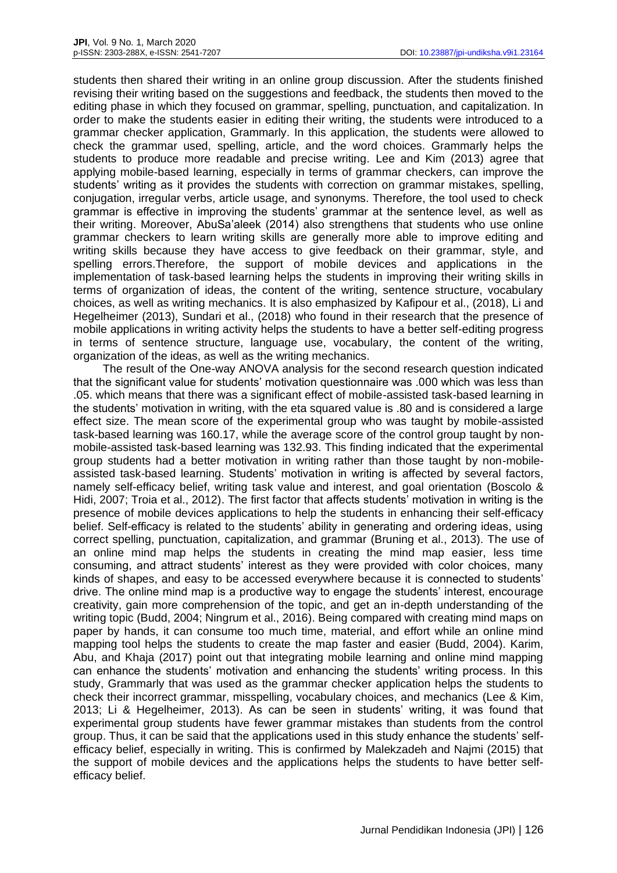students then shared their writing in an online group discussion. After the students finished revising their writing based on the suggestions and feedback, the students then moved to the editing phase in which they focused on grammar, spelling, punctuation, and capitalization. In order to make the students easier in editing their writing, the students were introduced to a grammar checker application, Grammarly. In this application, the students were allowed to check the grammar used, spelling, article, and the word choices. Grammarly helps the students to produce more readable and precise writing. Lee and Kim (2013) agree that applying mobile-based learning, especially in terms of grammar checkers, can improve the students' writing as it provides the students with correction on grammar mistakes, spelling, conjugation, irregular verbs, article usage, and synonyms. Therefore, the tool used to check grammar is effective in improving the students' grammar at the sentence level, as well as their writing. Moreover, AbuSa'aleek (2014) also strengthens that students who use online grammar checkers to learn writing skills are generally more able to improve editing and writing skills because they have access to give feedback on their grammar, style, and spelling errors.Therefore, the support of mobile devices and applications in the implementation of task-based learning helps the students in improving their writing skills in terms of organization of ideas, the content of the writing, sentence structure, vocabulary choices, as well as writing mechanics. It is also emphasized by Kafipour et al., (2018), Li and Hegelheimer (2013), Sundari et al., (2018) who found in their research that the presence of mobile applications in writing activity helps the students to have a better self-editing progress in terms of sentence structure, language use, vocabulary, the content of the writing, organization of the ideas, as well as the writing mechanics.

The result of the One-way ANOVA analysis for the second research question indicated that the significant value for students' motivation questionnaire was .000 which was less than .05. which means that there was a significant effect of mobile-assisted task-based learning in the students' motivation in writing, with the eta squared value is .80 and is considered a large effect size. The mean score of the experimental group who was taught by mobile-assisted task-based learning was 160.17, while the average score of the control group taught by nonmobile-assisted task-based learning was 132.93. This finding indicated that the experimental group students had a better motivation in writing rather than those taught by non-mobileassisted task-based learning. Students' motivation in writing is affected by several factors, namely self-efficacy belief, writing task value and interest, and goal orientation (Boscolo & Hidi, 2007; Troia et al., 2012). The first factor that affects students' motivation in writing is the presence of mobile devices applications to help the students in enhancing their self-efficacy belief. Self-efficacy is related to the students' ability in generating and ordering ideas, using correct spelling, punctuation, capitalization, and grammar (Bruning et al., 2013). The use of an online mind map helps the students in creating the mind map easier, less time consuming, and attract students' interest as they were provided with color choices, many kinds of shapes, and easy to be accessed everywhere because it is connected to students' drive. The online mind map is a productive way to engage the students' interest, encourage creativity, gain more comprehension of the topic, and get an in-depth understanding of the writing topic (Budd, 2004; Ningrum et al., 2016). Being compared with creating mind maps on paper by hands, it can consume too much time, material, and effort while an online mind mapping tool helps the students to create the map faster and easier (Budd, 2004). Karim, Abu, and Khaja (2017) point out that integrating mobile learning and online mind mapping can enhance the students' motivation and enhancing the students' writing process. In this study, Grammarly that was used as the grammar checker application helps the students to check their incorrect grammar, misspelling, vocabulary choices, and mechanics (Lee & Kim, 2013; Li & Hegelheimer, 2013). As can be seen in students' writing, it was found that experimental group students have fewer grammar mistakes than students from the control group. Thus, it can be said that the applications used in this study enhance the students' selfefficacy belief, especially in writing. This is confirmed by Malekzadeh and Najmi (2015) that the support of mobile devices and the applications helps the students to have better selfefficacy belief.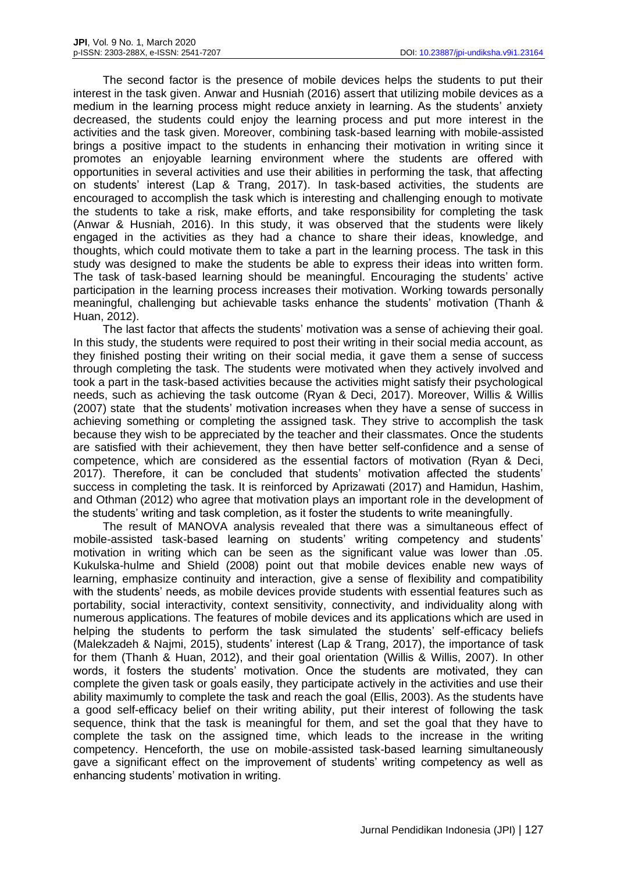The second factor is the presence of mobile devices helps the students to put their interest in the task given. Anwar and Husniah (2016) assert that utilizing mobile devices as a medium in the learning process might reduce anxiety in learning. As the students' anxiety decreased, the students could enjoy the learning process and put more interest in the activities and the task given. Moreover, combining task-based learning with mobile-assisted brings a positive impact to the students in enhancing their motivation in writing since it promotes an enjoyable learning environment where the students are offered with opportunities in several activities and use their abilities in performing the task, that affecting on students' interest (Lap & Trang, 2017). In task-based activities, the students are encouraged to accomplish the task which is interesting and challenging enough to motivate the students to take a risk, make efforts, and take responsibility for completing the task (Anwar & Husniah, 2016). In this study, it was observed that the students were likely engaged in the activities as they had a chance to share their ideas, knowledge, and thoughts, which could motivate them to take a part in the learning process. The task in this study was designed to make the students be able to express their ideas into written form. The task of task-based learning should be meaningful. Encouraging the students' active participation in the learning process increases their motivation. Working towards personally meaningful, challenging but achievable tasks enhance the students' motivation (Thanh & Huan, 2012).

The last factor that affects the students' motivation was a sense of achieving their goal. In this study, the students were required to post their writing in their social media account, as they finished posting their writing on their social media, it gave them a sense of success through completing the task. The students were motivated when they actively involved and took a part in the task-based activities because the activities might satisfy their psychological needs, such as achieving the task outcome (Ryan & Deci, 2017). Moreover, Willis & Willis (2007) state that the students' motivation increases when they have a sense of success in achieving something or completing the assigned task. They strive to accomplish the task because they wish to be appreciated by the teacher and their classmates. Once the students are satisfied with their achievement, they then have better self-confidence and a sense of competence, which are considered as the essential factors of motivation (Ryan & Deci, 2017). Therefore, it can be concluded that students' motivation affected the students' success in completing the task. It is reinforced by Aprizawati (2017) and Hamidun, Hashim, and Othman (2012) who agree that motivation plays an important role in the development of the students' writing and task completion, as it foster the students to write meaningfully.

The result of MANOVA analysis revealed that there was a simultaneous effect of mobile-assisted task-based learning on students' writing competency and students' motivation in writing which can be seen as the significant value was lower than .05. Kukulska-hulme and Shield (2008) point out that mobile devices enable new ways of learning, emphasize continuity and interaction, give a sense of flexibility and compatibility with the students' needs, as mobile devices provide students with essential features such as portability, social interactivity, context sensitivity, connectivity, and individuality along with numerous applications. The features of mobile devices and its applications which are used in helping the students to perform the task simulated the students' self-efficacy beliefs (Malekzadeh & Najmi, 2015), students' interest (Lap & Trang, 2017), the importance of task for them (Thanh & Huan, 2012), and their goal orientation (Willis & Willis, 2007). In other words, it fosters the students' motivation. Once the students are motivated, they can complete the given task or goals easily, they participate actively in the activities and use their ability maximumly to complete the task and reach the goal (Ellis, 2003). As the students have a good self-efficacy belief on their writing ability, put their interest of following the task sequence, think that the task is meaningful for them, and set the goal that they have to complete the task on the assigned time, which leads to the increase in the writing competency. Henceforth, the use on mobile-assisted task-based learning simultaneously gave a significant effect on the improvement of students' writing competency as well as enhancing students' motivation in writing.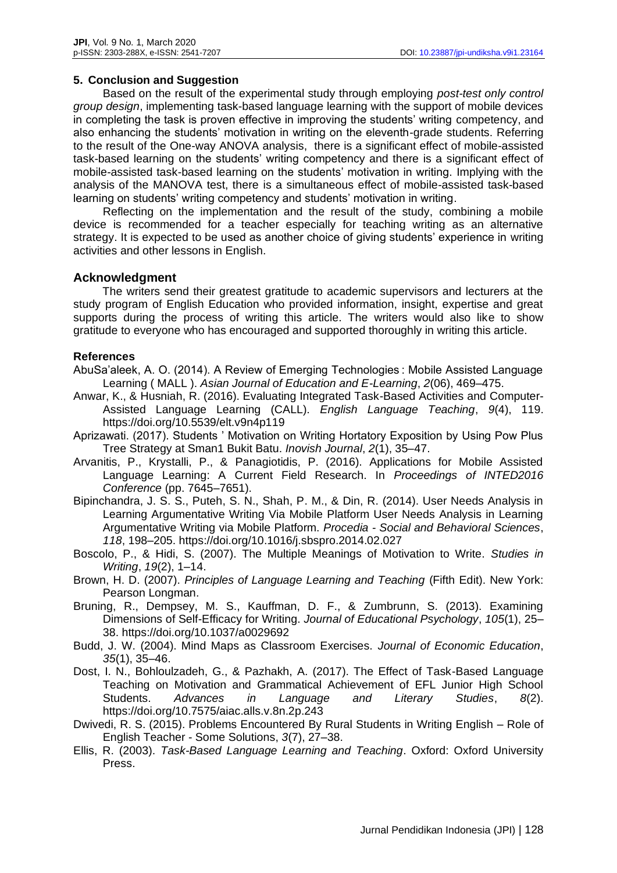## **5. Conclusion and Suggestion**

Based on the result of the experimental study through employing *post-test only control group design*, implementing task-based language learning with the support of mobile devices in completing the task is proven effective in improving the students' writing competency, and also enhancing the students' motivation in writing on the eleventh-grade students. Referring to the result of the One-way ANOVA analysis, there is a significant effect of mobile-assisted task-based learning on the students' writing competency and there is a significant effect of mobile-assisted task-based learning on the students' motivation in writing. Implying with the analysis of the MANOVA test, there is a simultaneous effect of mobile-assisted task-based learning on students' writing competency and students' motivation in writing.

Reflecting on the implementation and the result of the study, combining a mobile device is recommended for a teacher especially for teaching writing as an alternative strategy. It is expected to be used as another choice of giving students' experience in writing activities and other lessons in English.

# **Acknowledgment**

The writers send their greatest gratitude to academic supervisors and lecturers at the study program of English Education who provided information, insight, expertise and great supports during the process of writing this article. The writers would also like to show gratitude to everyone who has encouraged and supported thoroughly in writing this article.

# **References**

AbuSa'aleek, A. O. (2014). A Review of Emerging Technologies : Mobile Assisted Language Learning ( MALL ). *Asian Journal of Education and E-Learning*, *2*(06), 469–475.

- Anwar, K., & Husniah, R. (2016). Evaluating Integrated Task-Based Activities and Computer-Assisted Language Learning (CALL). *English Language Teaching*, *9*(4), 119. https://doi.org/10.5539/elt.v9n4p119
- Aprizawati. (2017). Students ' Motivation on Writing Hortatory Exposition by Using Pow Plus Tree Strategy at Sman1 Bukit Batu. *Inovish Journal*, *2*(1), 35–47.
- Arvanitis, P., Krystalli, P., & Panagiotidis, P. (2016). Applications for Mobile Assisted Language Learning: A Current Field Research. In *Proceedings of INTED2016 Conference* (pp. 7645–7651).
- Bipinchandra, J. S. S., Puteh, S. N., Shah, P. M., & Din, R. (2014). User Needs Analysis in Learning Argumentative Writing Via Mobile Platform User Needs Analysis in Learning Argumentative Writing via Mobile Platform. *Procedia - Social and Behavioral Sciences*, *118*, 198–205. https://doi.org/10.1016/j.sbspro.2014.02.027
- Boscolo, P., & Hidi, S. (2007). The Multiple Meanings of Motivation to Write. *Studies in Writing*, *19*(2), 1–14.
- Brown, H. D. (2007). *Principles of Language Learning and Teaching* (Fifth Edit). New York: Pearson Longman.
- Bruning, R., Dempsey, M. S., Kauffman, D. F., & Zumbrunn, S. (2013). Examining Dimensions of Self-Efficacy for Writing. *Journal of Educational Psychology*, *105*(1), 25– 38. https://doi.org/10.1037/a0029692
- Budd, J. W. (2004). Mind Maps as Classroom Exercises. *Journal of Economic Education*, *35*(1), 35–46.
- Dost, I. N., Bohloulzadeh, G., & Pazhakh, A. (2017). The Effect of Task-Based Language Teaching on Motivation and Grammatical Achievement of EFL Junior High School Students. *Advances in Language and Literary Studies*, *8*(2). https://doi.org/10.7575/aiac.alls.v.8n.2p.243
- Dwivedi, R. S. (2015). Problems Encountered By Rural Students in Writing English Role of English Teacher - Some Solutions, *3*(7), 27–38.
- Ellis, R. (2003). *Task-Based Language Learning and Teaching*. Oxford: Oxford University Press.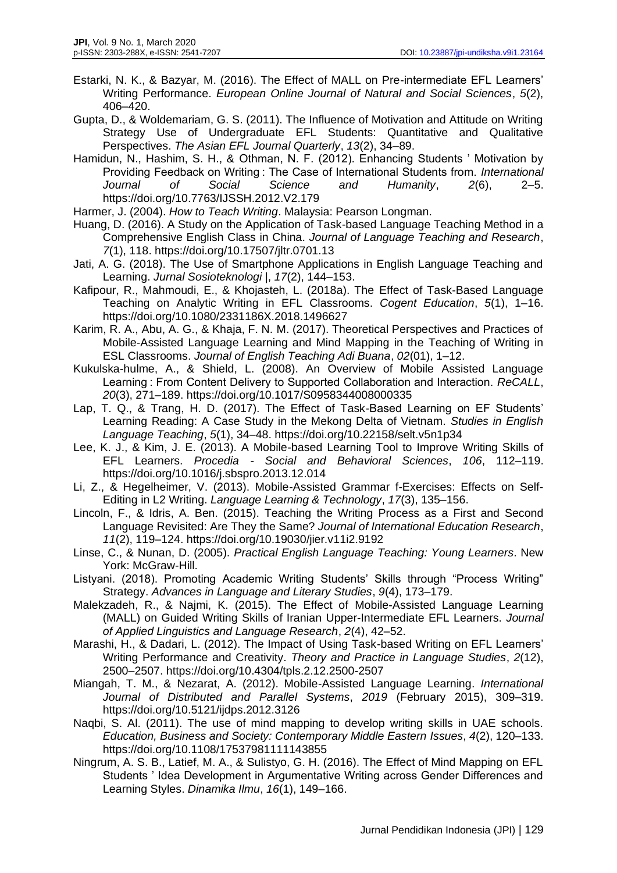Estarki, N. K., & Bazyar, M. (2016). The Effect of MALL on Pre-intermediate EFL Learners' Writing Performance. *European Online Journal of Natural and Social Sciences*, *5*(2), 406–420.

Gupta, D., & Woldemariam, G. S. (2011). The Influence of Motivation and Attitude on Writing Strategy Use of Undergraduate EFL Students: Quantitative and Qualitative Perspectives. *The Asian EFL Journal Quarterly*, *13*(2), 34–89.

Hamidun, N., Hashim, S. H., & Othman, N. F. (2012). Enhancing Students ' Motivation by Providing Feedback on Writing : The Case of International Students from. *International Journal of Social Science and Humanity*, *2*(6), 2–5. https://doi.org/10.7763/IJSSH.2012.V2.179

Harmer, J. (2004). *How to Teach Writing*. Malaysia: Pearson Longman.

- Huang, D. (2016). A Study on the Application of Task-based Language Teaching Method in a Comprehensive English Class in China. *Journal of Language Teaching and Research*, *7*(1), 118. https://doi.org/10.17507/jltr.0701.13
- Jati, A. G. (2018). The Use of Smartphone Applications in English Language Teaching and Learning. *Jurnal Sosioteknologi |*, *17*(2), 144–153.
- Kafipour, R., Mahmoudi, E., & Khojasteh, L. (2018a). The Effect of Task-Based Language Teaching on Analytic Writing in EFL Classrooms. *Cogent Education*, *5*(1), 1–16. https://doi.org/10.1080/2331186X.2018.1496627
- Karim, R. A., Abu, A. G., & Khaja, F. N. M. (2017). Theoretical Perspectives and Practices of Mobile-Assisted Language Learning and Mind Mapping in the Teaching of Writing in ESL Classrooms. *Journal of English Teaching Adi Buana*, *02*(01), 1–12.
- Kukulska-hulme, A., & Shield, L. (2008). An Overview of Mobile Assisted Language Learning : From Content Delivery to Supported Collaboration and Interaction. *ReCALL*, *20*(3), 271–189. https://doi.org/10.1017/S0958344008000335
- Lap, T. Q., & Trang, H. D. (2017). The Effect of Task-Based Learning on EF Students' Learning Reading: A Case Study in the Mekong Delta of Vietnam. *Studies in English Language Teaching*, *5*(1), 34–48. https://doi.org/10.22158/selt.v5n1p34
- Lee, K. J., & Kim, J. E. (2013). A Mobile-based Learning Tool to Improve Writing Skills of EFL Learners. *Procedia - Social and Behavioral Sciences*, *106*, 112–119. https://doi.org/10.1016/j.sbspro.2013.12.014
- Li, Z., & Hegelheimer, V. (2013). Mobile-Assisted Grammar f-Exercises: Effects on Self-Editing in L2 Writing. *Language Learning & Technology*, *17*(3), 135–156.
- Lincoln, F., & Idris, A. Ben. (2015). Teaching the Writing Process as a First and Second Language Revisited: Are They the Same? *Journal of International Education Research*, *11*(2), 119–124. https://doi.org/10.19030/jier.v11i2.9192
- Linse, C., & Nunan, D. (2005). *Practical English Language Teaching: Young Learners*. New York: McGraw-Hill.
- Listyani. (2018). Promoting Academic Writing Students' Skills through "Process Writing" Strategy. *Advances in Language and Literary Studies*, *9*(4), 173–179.
- Malekzadeh, R., & Najmi, K. (2015). The Effect of Mobile-Assisted Language Learning (MALL) on Guided Writing Skills of Iranian Upper-Intermediate EFL Learners. *Journal of Applied Linguistics and Language Research*, *2*(4), 42–52.
- Marashi, H., & Dadari, L. (2012). The Impact of Using Task-based Writing on EFL Learners' Writing Performance and Creativity. *Theory and Practice in Language Studies*, *2*(12), 2500–2507. https://doi.org/10.4304/tpls.2.12.2500-2507
- Miangah, T. M., & Nezarat, A. (2012). Mobile-Assisted Language Learning. *International Journal of Distributed and Parallel Systems*, *2019* (February 2015), 309–319. https://doi.org/10.5121/ijdps.2012.3126
- Naqbi, S. Al. (2011). The use of mind mapping to develop writing skills in UAE schools. *Education, Business and Society: Contemporary Middle Eastern Issues*, *4*(2), 120–133. https://doi.org/10.1108/17537981111143855
- Ningrum, A. S. B., Latief, M. A., & Sulistyo, G. H. (2016). The Effect of Mind Mapping on EFL Students ' Idea Development in Argumentative Writing across Gender Differences and Learning Styles. *Dinamika Ilmu*, *16*(1), 149–166.